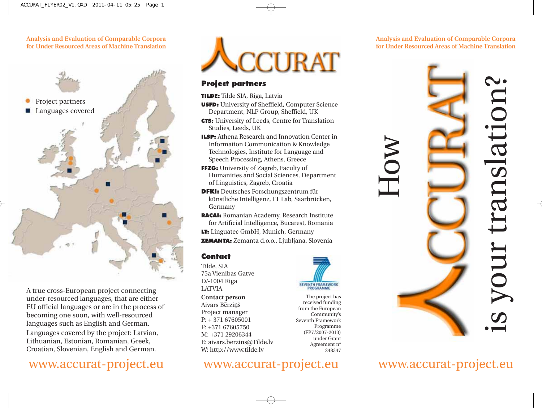Analysis and Evaluation of Comparable Corpora for Under Resourced Areas of Machine Translation



A true cross-European project connecting under-resourced languages, that are either EU official languages or are in the process of becoming one soon, with well-resourced languages such as English and German.

Languages covered by the project: Latvian, Lithuanian, Estonian, Romanian, Greek, Croatian, Slovenian, English and German.



### Project partners

TILDE: Tilde SIA, Riga, Latvia

USFD: University of Sheffield, Computer Science Department, NLP Group, Sheffield, UK

CTS: University of Leeds, Centre for Translation Studies, Leeds, UK

ILSP: Athena Research and Innovation Center in Information Communication & Knowledge Technologies, Institute for Language and Speech Processing, Athens, Greece

FFZG: University of Zagreb, Faculty of Humanities and Social Sciences, Department of Linguistics, Zagreb, Croatia

DFKI: Deutsches Forschungszentrum für künstliche Intelligenz, LT Lab, Saarbrücken, Germany

RACAI: Romanian Academy, Research Institute for Artificial Intelligence, Bucarest, Romania

LT: Linguatec GmbH, Munich, Germany

ZEMANTA: Zemanta d.o.o., Ljubljana, Slovenia

## Contact

Tilde, SIA 75a Vienibas Gatve LV-1004 Riga LATVIA Contact person Aivars Bērzinš Project manager P: + 371 67605001 F: +371 67605750 M: +371 29206344 E: aivars.berzins*@*Tilde.lv W: http://www.tilde.lv



The project has received funding from the European Community's Seventh Framework Programme (FP7/2007-2013) under Grant Agreement n° 248347

SEVENTH FRAMEWORK



Analysis and Evaluation of Comparable Corpora for Under Resourced Areas of Machine Translation